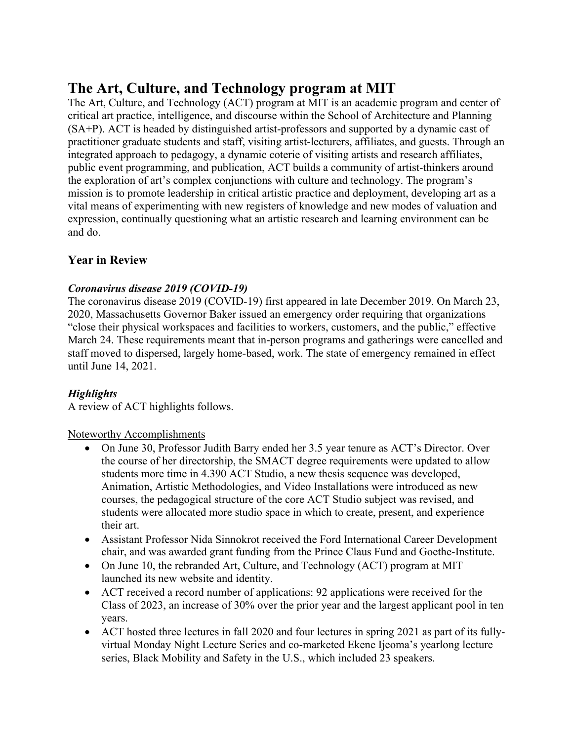# **The Art, Culture, and Technology program at MIT**

The Art, Culture, and Technology (ACT) program at MIT is an academic program and center of critical art practice, intelligence, and discourse within the School of Architecture and Planning (SA+P). ACT is headed by distinguished artist-professors and supported by a dynamic cast of practitioner graduate students and staff, visiting artist-lecturers, affiliates, and guests. Through an integrated approach to pedagogy, a dynamic coterie of visiting artists and research affiliates, public event programming, and publication, ACT builds a community of artist-thinkers around the exploration of art's complex conjunctions with culture and technology. The program's mission is to promote leadership in critical artistic practice and deployment, developing art as a vital means of experimenting with new registers of knowledge and new modes of valuation and expression, continually questioning what an artistic research and learning environment can be and do.

# **Year in Review**

### *Coronavirus disease 2019 (COVID-19)*

The coronavirus disease 2019 (COVID-19) first appeared in late December 2019. On March 23, 2020, Massachusetts Governor Baker issued an emergency order requiring that organizations "close their physical workspaces and facilities to workers, customers, and the public," effective March 24. These requirements meant that in-person programs and gatherings were cancelled and staff moved to dispersed, largely home-based, work. The state of emergency remained in effect until June 14, 2021.

# *Highlights*

A review of ACT highlights follows.

Noteworthy Accomplishments

- On June 30, Professor Judith Barry ended her 3.5 year tenure as ACT's Director. Over the course of her directorship, the SMACT degree requirements were updated to allow students more time in 4.390 ACT Studio, a new thesis sequence was developed, Animation, Artistic Methodologies, and Video Installations were introduced as new courses, the pedagogical structure of the core ACT Studio subject was revised, and students were allocated more studio space in which to create, present, and experience their art.
- Assistant Professor Nida Sinnokrot received the Ford International Career Development chair, and was awarded grant funding from the Prince Claus Fund and Goethe-Institute.
- On June 10, the rebranded Art, Culture, and Technology (ACT) program at MIT launched its new website and identity.
- ACT received a record number of applications: 92 applications were received for the Class of 2023, an increase of 30% over the prior year and the largest applicant pool in ten years.
- ACT hosted three lectures in fall 2020 and four lectures in spring 2021 as part of its fullyvirtual Monday Night Lecture Series and co-marketed Ekene Ijeoma's yearlong lecture series, Black Mobility and Safety in the U.S., which included 23 speakers.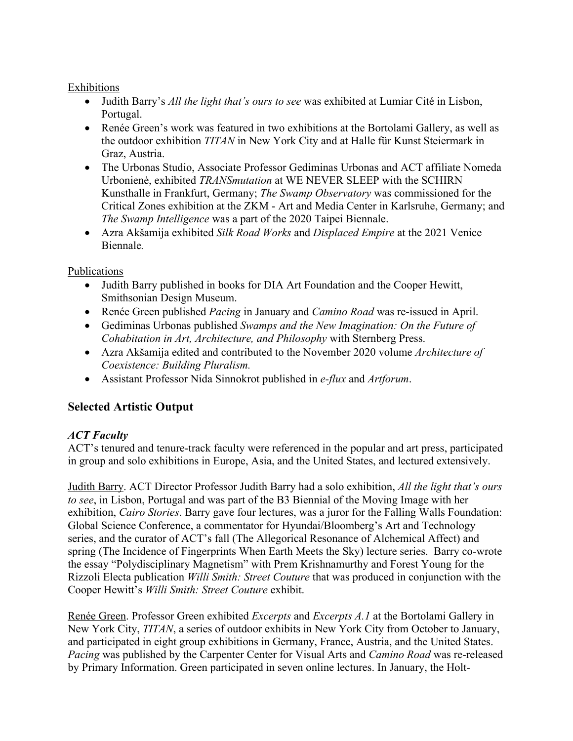#### **Exhibitions**

- Judith Barry's *All the light that's ours to see* was exhibited at Lumiar Cité in Lisbon, Portugal.
- Renée Green's work was featured in two exhibitions at the Bortolami Gallery, as well as the outdoor exhibition *TITAN* in New York City and at Halle für Kunst Steiermark in Graz, Austria.
- The Urbonas Studio, Associate Professor Gediminas Urbonas and ACT affiliate Nomeda Urbonienė, exhibited *TRANSmutation* at WE NEVER SLEEP with the SCHIRN Kunsthalle in Frankfurt, Germany; *The Swamp Observatory* was commissioned for the Critical Zones exhibition at the ZKM - Art and Media Center in Karlsruhe, Germany; and *The Swamp Intelligence* was a part of the 2020 Taipei Biennale.
- Azra Akšamija exhibited *Silk Road Works* and *Displaced Empire* at the 2021 Venice Biennale*.*

### Publications

- Judith Barry published in books for DIA Art Foundation and the Cooper Hewitt, Smithsonian Design Museum.
- Renée Green published *Pacing* in January and *Camino Road* was re-issued in April.
- Gediminas Urbonas published *Swamps and the New Imagination: On the Future of Cohabitation in Art, Architecture, and Philosophy* with Sternberg Press.
- Azra Akšamija edited and contributed to the November 2020 volume *Architecture of Coexistence: Building Pluralism.*
- Assistant Professor Nida Sinnokrot published in *e-flux* and *Artforum*.

# **Selected Artistic Output**

### *ACT Faculty*

ACT's tenured and tenure-track faculty were referenced in the popular and art press, participated in group and solo exhibitions in Europe, Asia, and the United States, and lectured extensively.

Judith Barry. ACT Director Professor Judith Barry had a solo exhibition, *All the light that's ours to see*, in Lisbon, Portugal and was part of the B3 Biennial of the Moving Image with her exhibition, *Cairo Stories*. Barry gave four lectures, was a juror for the Falling Walls Foundation: Global Science Conference, a commentator for Hyundai/Bloomberg's Art and Technology series, and the curator of ACT's fall (The Allegorical Resonance of Alchemical Affect) and spring (The Incidence of Fingerprints When Earth Meets the Sky) lecture series. Barry co-wrote the essay "Polydisciplinary Magnetism" with Prem Krishnamurthy and Forest Young for the Rizzoli Electa publication *Willi Smith: Street Couture* that was produced in conjunction with the Cooper Hewitt's *Willi Smith: Street Couture* exhibit.

Renée Green. Professor Green exhibited *Excerpts* and *Excerpts A.1* at the Bortolami Gallery in New York City, *TITAN*, a series of outdoor exhibits in New York City from October to January, and participated in eight group exhibitions in Germany, France, Austria, and the United States. *Pacing* was published by the Carpenter Center for Visual Arts and *Camino Road* was re-released by Primary Information. Green participated in seven online lectures. In January, the Holt-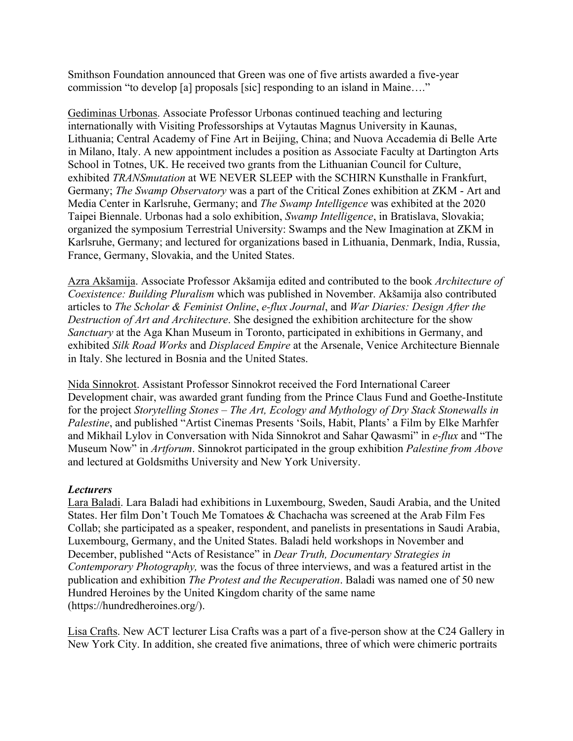Smithson Foundation announced that Green was one of five artists awarded a five-year commission "to develop [a] proposals [sic] responding to an island in Maine…."

Gediminas Urbonas. Associate Professor Urbonas continued teaching and lecturing internationally with Visiting Professorships at Vytautas Magnus University in Kaunas, Lithuania; Central Academy of Fine Art in Beijing, China; and Nuova Accademia di Belle Arte in Milano, Italy. A new appointment includes a position as Associate Faculty at Dartington Arts School in Totnes, UK. He received two grants from the Lithuanian Council for Culture, exhibited *TRANSmutation* at WE NEVER SLEEP with the SCHIRN Kunsthalle in Frankfurt, Germany; *The Swamp Observatory* was a part of the Critical Zones exhibition at ZKM - Art and Media Center in Karlsruhe, Germany; and *The Swamp Intelligence* was exhibited at the 2020 Taipei Biennale. Urbonas had a solo exhibition, *Swamp Intelligence*, in Bratislava, Slovakia; organized the symposium Terrestrial University: Swamps and the New Imagination at ZKM in Karlsruhe, Germany; and lectured for organizations based in Lithuania, Denmark, India, Russia, France, Germany, Slovakia, and the United States.

Azra Akšamija. Associate Professor Akšamija edited and contributed to the book *Architecture of Coexistence: Building Pluralism* which was published in November. Akšamija also contributed articles to *The Scholar & Feminist Online*, *e-flux Journal*, and *War Diaries: Design After the Destruction of Art and Architecture*. She designed the exhibition architecture for the show *Sanctuary* at the Aga Khan Museum in Toronto, participated in exhibitions in Germany, and exhibited *Silk Road Works* and *Displaced Empire* at the Arsenale, Venice Architecture Biennale in Italy. She lectured in Bosnia and the United States.

Nida Sinnokrot. Assistant Professor Sinnokrot received the Ford International Career Development chair, was awarded grant funding from the Prince Claus Fund and Goethe-Institute for the project *Storytelling Stones – The Art, Ecology and Mythology of Dry Stack Stonewalls in Palestine*, and published "Artist Cinemas Presents 'Soils, Habit, Plants' a Film by Elke Marhfer and Mikhail Lylov in Conversation with Nida Sinnokrot and Sahar Qawasmi" in *e-flux* and "The Museum Now" in *Artforum*. Sinnokrot participated in the group exhibition *Palestine from Above* and lectured at Goldsmiths University and New York University.

### *Lecturers*

Lara Baladi. Lara Baladi had exhibitions in Luxembourg, Sweden, Saudi Arabia, and the United States. Her film Don't Touch Me Tomatoes & Chachacha was screened at the Arab Film Fes Collab; she participated as a speaker, respondent, and panelists in presentations in Saudi Arabia, Luxembourg, Germany, and the United States. Baladi held workshops in November and December, published "Acts of Resistance" in *Dear Truth, Documentary Strategies in Contemporary Photography,* was the focus of three interviews, and was a featured artist in the publication and exhibition *The Protest and the Recuperation*. Baladi was named one of 50 new Hundred Heroines by the United Kingdom charity of the same name (https://hundredheroines.org/).

Lisa Crafts. New ACT lecturer Lisa Crafts was a part of a five-person show at the C24 Gallery in New York City. In addition, she created five animations, three of which were chimeric portraits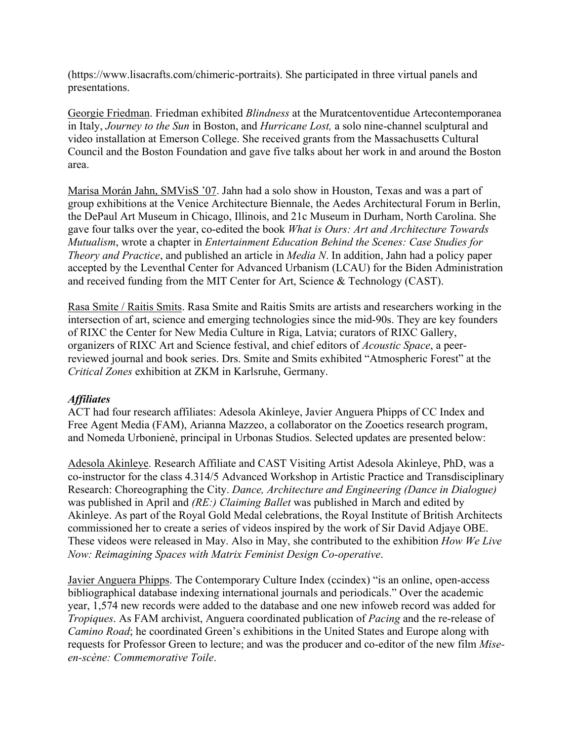(https://www.lisacrafts.com/chimeric-portraits). She participated in three virtual panels and presentations.

Georgie Friedman. Friedman exhibited *Blindness* at the Muratcentoventidue Artecontemporanea in Italy, *Journey to the Sun* in Boston, and *Hurricane Lost,* a solo nine-channel sculptural and video installation at Emerson College. She received grants from the Massachusetts Cultural Council and the Boston Foundation and gave five talks about her work in and around the Boston area.

Marisa Morán Jahn, SMVisS '07. Jahn had a solo show in Houston, Texas and was a part of group exhibitions at the Venice Architecture Biennale, the Aedes Architectural Forum in Berlin, the DePaul Art Museum in Chicago, Illinois, and 21c Museum in Durham, North Carolina. She gave four talks over the year, co-edited the book *What is Ours: Art and Architecture Towards Mutualism*, wrote a chapter in *Entertainment Education Behind the Scenes: Case Studies for Theory and Practice*, and published an article in *Media N*. In addition, Jahn had a policy paper accepted by the Leventhal Center for Advanced Urbanism (LCAU) for the Biden Administration and received funding from the MIT Center for Art, Science & Technology (CAST).

Rasa Smite / Raitis Smits. Rasa Smite and Raitis Smits are artists and researchers working in the intersection of art, science and emerging technologies since the mid-90s. They are key founders of RIXC the Center for New Media Culture in Riga, Latvia; curators of RIXC Gallery, organizers of RIXC Art and Science festival, and chief editors of *Acoustic Space*, a peerreviewed journal and book series. Drs. Smite and Smits exhibited "Atmospheric Forest" at the *Critical Zones* exhibition at ZKM in Karlsruhe, Germany.

### *Affiliates*

ACT had four research affiliates: Adesola Akinleye, Javier Anguera Phipps of CC Index and Free Agent Media (FAM), Arianna Mazzeo, a collaborator on the Zooetics research program, and Nomeda Urbonienė, principal in Urbonas Studios. Selected updates are presented below:

Adesola Akinleye. Research Affiliate and CAST Visiting Artist Adesola Akinleye, PhD, was a co-instructor for the class 4.314/5 Advanced Workshop in Artistic Practice and Transdisciplinary Research: Choreographing the City. *Dance, Architecture and Engineering (Dance in Dialogue)* was published in April and *(RE:) Claiming Ballet* was published in March and edited by Akinleye. As part of the Royal Gold Medal celebrations, the Royal Institute of British Architects commissioned her to create a series of videos inspired by the work of Sir David Adjaye OBE. These videos were released in May. Also in May, she contributed to the exhibition *How We Live Now: Reimagining Spaces with Matrix Feminist Design Co-operative*.

Javier Anguera Phipps. The Contemporary Culture Index (ccindex) "is an online, open-access bibliographical database indexing international journals and periodicals." Over the academic year, 1,574 new records were added to the database and one new infoweb record was added for *Tropiques*. As FAM archivist, Anguera coordinated publication of *Pacing* and the re-release of *Camino Road*; he coordinated Green's exhibitions in the United States and Europe along with requests for Professor Green to lecture; and was the producer and co-editor of the new film *Miseen-scène: Commemorative Toile*.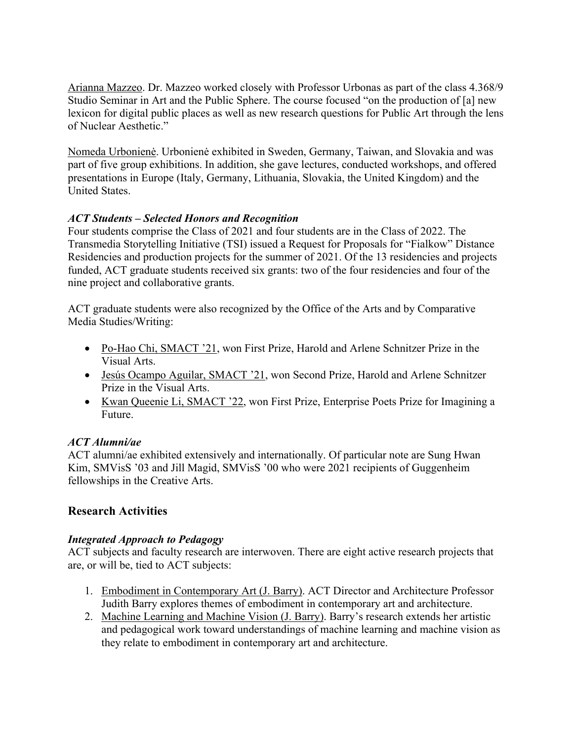Arianna Mazzeo. Dr. Mazzeo worked closely with Professor Urbonas as part of the class 4.368/9 Studio Seminar in Art and the Public Sphere. The course focused "on the production of [a] new lexicon for digital public places as well as new research questions for Public Art through the lens of Nuclear Aesthetic."

Nomeda Urbonienė. Urbonienė exhibited in Sweden, Germany, Taiwan, and Slovakia and was part of five group exhibitions. In addition, she gave lectures, conducted workshops, and offered presentations in Europe (Italy, Germany, Lithuania, Slovakia, the United Kingdom) and the United States.

### *ACT Students – Selected Honors and Recognition*

Four students comprise the Class of 2021 and four students are in the Class of 2022. The Transmedia Storytelling Initiative (TSI) issued a Request for Proposals for "Fialkow" Distance Residencies and production projects for the summer of 2021. Of the 13 residencies and projects funded, ACT graduate students received six grants: two of the four residencies and four of the nine project and collaborative grants.

ACT graduate students were also recognized by the Office of the Arts and by Comparative Media Studies/Writing:

- Po-Hao Chi, SMACT '21, won First Prize, Harold and Arlene Schnitzer Prize in the Visual Arts.
- Jesús Ocampo Aguilar, SMACT '21, won Second Prize, Harold and Arlene Schnitzer Prize in the Visual Arts.
- Kwan Queenie Li, SMACT '22, won First Prize, Enterprise Poets Prize for Imagining a Future.

### *ACT Alumni/ae*

ACT alumni/ae exhibited extensively and internationally. Of particular note are Sung Hwan Kim, SMVisS '03 and Jill Magid, SMVisS '00 who were 2021 recipients of Guggenheim fellowships in the Creative Arts.

# **Research Activities**

### *Integrated Approach to Pedagogy*

ACT subjects and faculty research are interwoven. There are eight active research projects that are, or will be, tied to ACT subjects:

- 1. Embodiment in Contemporary Art (J. Barry). ACT Director and Architecture Professor Judith Barry explores themes of embodiment in contemporary art and architecture.
- 2. Machine Learning and Machine Vision (J. Barry). Barry's research extends her artistic and pedagogical work toward understandings of machine learning and machine vision as they relate to embodiment in contemporary art and architecture.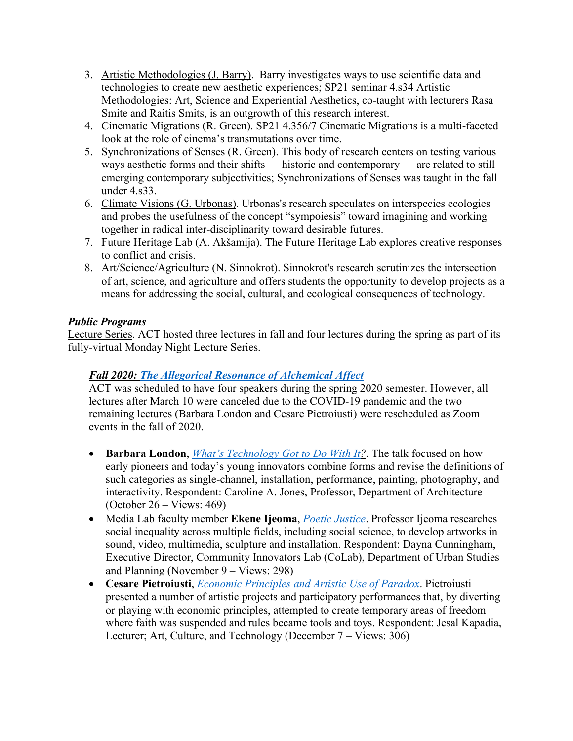- 3. Artistic Methodologies (J. Barry). Barry investigates ways to use scientific data and technologies to create new aesthetic experiences; SP21 seminar 4.s34 Artistic Methodologies: Art, Science and Experiential Aesthetics, co-taught with lecturers Rasa Smite and Raitis Smits, is an outgrowth of this research interest.
- 4. Cinematic Migrations (R. Green). SP21 4.356/7 Cinematic Migrations is a multi-faceted look at the role of cinema's transmutations over time.
- 5. Synchronizations of Senses (R. Green). This body of research centers on testing various ways aesthetic forms and their shifts — historic and contemporary — are related to still emerging contemporary subjectivities; Synchronizations of Senses was taught in the fall under 4.s33.
- 6. Climate Visions (G. Urbonas). Urbonas's research speculates on interspecies ecologies and probes the usefulness of the concept "sympoiesis" toward imagining and working together in radical inter-disciplinarity toward desirable futures.
- 7. Future Heritage Lab (A. Akšamija). The Future Heritage Lab explores creative responses to conflict and crisis.
- 8. Art/Science/Agriculture (N. Sinnokrot). Sinnokrot's research scrutinizes the intersection of art, science, and agriculture and offers students the opportunity to develop projects as a means for addressing the social, cultural, and ecological consequences of technology.

### *Public Programs*

Lecture Series. ACT hosted three lectures in fall and four lectures during the spring as part of its fully-virtual Monday Night Lecture Series.

# *Fall 2020: [The Allegorical Resonance of Alchemical Affect](https://act.mit.edu/event/fall-2020-lecture-series-the-allegorical-resonance-of-alchemical-affect/)*

ACT was scheduled to have four speakers during the spring 2020 semester. However, all lectures after March 10 were canceled due to the COVID-19 pandemic and the two remaining lectures (Barbara London and Cesare Pietroiusti) were rescheduled as Zoom events in the fall of 2020.

- **Barbara London**, *[What's Technology Got to Do With It](http://act.media.mit.edu/event/barbara-london-whats-technology-got-to-do-with-it/)?*. The talk focused on how early pioneers and today's young innovators combine forms and revise the definitions of such categories as single-channel, installation, performance, painting, photography, and interactivity. Respondent: Caroline A. Jones, Professor, Department of Architecture (October 26 – Views: 469)
- Media Lab faculty member **Ekene Ijeoma**, *[Poetic Justice](http://act.media.mit.edu/event/ekene-ijeoma-poetic-justice/)*. Professor Ijeoma researches social inequality across multiple fields, including social science, to develop artworks in sound, video, multimedia, sculpture and installation. Respondent: Dayna Cunningham, Executive Director, Community Innovators Lab (CoLab), Department of Urban Studies and Planning (November 9 – Views: 298)
- **Cesare Pietroiusti**, *[Economic Principles and Artistic Use of Paradox](http://act.media.mit.edu/event/cesare-pietroiusti-economic-principles-and-artistic-use-of-paradox/)*. Pietroiusti presented a number of artistic projects and participatory performances that, by diverting or playing with economic principles, attempted to create temporary areas of freedom where faith was suspended and rules became tools and toys. Respondent: Jesal Kapadia, Lecturer; Art, Culture, and Technology (December 7 – Views: 306)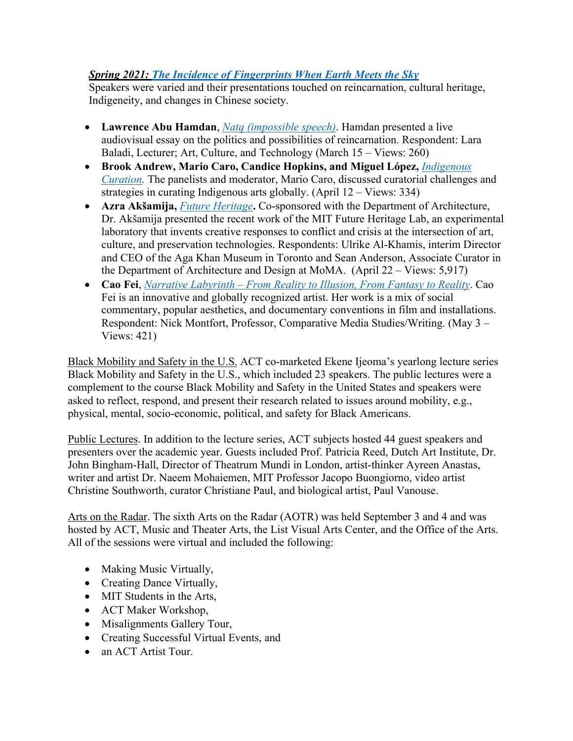# *Spring 2021: [The Incidence of Fingerprints When Earth Meets the Sky](http://act.mit.edu/event/spring-2021-lecture-series-the-incidence-of-fingerprints-when-earth-meets-the-sky/)*

Speakers were varied and their presentations touched on reincarnation, cultural heritage, Indigeneity, and changes in Chinese society.

- **Lawrence Abu Hamdan**, *[Natq \(impossible speech\)](http://act.mit.edu/event/lawrence-abu-hamdan-natq-impossible-speech/)*. Hamdan presented a live audiovisual essay on the politics and possibilities of reincarnation. Respondent: Lara Baladi, Lecturer; Art, Culture, and Technology (March 15 – Views: 260)
- **Brook Andrew, Mario Caro, Candice Hopkins, and Miguel López,** *[Indigenous](http://act.mit.edu/event/brook-andrew-mario-caro-candice-hopkins-and-miguel-lopez-indigenous-curation/) [Curation](http://act.mit.edu/event/brook-andrew-mario-caro-candice-hopkins-and-miguel-lopez-indigenous-curation/).* The panelists and moderator, Mario Caro, discussed curatorial challenges and strategies in curating Indigenous arts globally. (April 12 – Views: 334)
- **Azra Akšamija,** *[Future Heritage](http://act.mit.edu/event/azra-aksamija-future-heritage/)***.** Co-sponsored with the Department of Architecture, Dr. Akšamija presented the recent work of the MIT Future Heritage Lab, an experimental laboratory that invents creative responses to conflict and crisis at the intersection of art, culture, and preservation technologies. Respondents: Ulrike Al-Khamis, interim Director and CEO of the Aga Khan Museum in Toronto and Sean Anderson, Associate Curator in the Department of Architecture and Design at MoMA. (April 22 – Views: 5,917)
- **Cao Fei**, *Narrative Labyrinth – [From Reality to Illusion, From Fantasy to Reality](http://act.mit.edu/event/cao-fei-narrative-labyrinth-from-reality-to-illusion-from-fantasy-to-reality/)*. Cao Fei is an innovative and globally recognized artist. Her work is a mix of social commentary, popular aesthetics, and documentary conventions in film and installations. Respondent: Nick Montfort, Professor, Comparative Media Studies/Writing. (May 3 – Views: 421)

Black Mobility and Safety in the U.S. ACT co-marketed Ekene Ijeoma's yearlong lecture series Black Mobility and Safety in the U.S., which included 23 speakers. The public lectures were a complement to the course Black Mobility and Safety in the United States and speakers were asked to reflect, respond, and present their research related to issues around mobility, e.g., physical, mental, socio-economic, political, and safety for Black Americans.

Public Lectures. In addition to the lecture series, ACT subjects hosted 44 guest speakers and presenters over the academic year. Guests included Prof. Patricia Reed, Dutch Art Institute, Dr. John Bingham-Hall, Director of Theatrum Mundi in London, artist-thinker Ayreen Anastas, writer and artist Dr. Naeem Mohaiemen, MIT Professor Jacopo Buongiorno, video artist Christine Southworth, curator Christiane Paul, and biological artist, Paul Vanouse.

Arts on the Radar. The sixth Arts on the Radar (AOTR) was held September 3 and 4 and was hosted by ACT, Music and Theater Arts, the List Visual Arts Center, and the Office of the Arts. All of the sessions were virtual and included the following:

- Making Music Virtually,
- Creating Dance Virtually,
- MIT Students in the Arts,
- ACT Maker Workshop,
- Misalignments Gallery Tour,
- Creating Successful Virtual Events, and
- an ACT Artist Tour.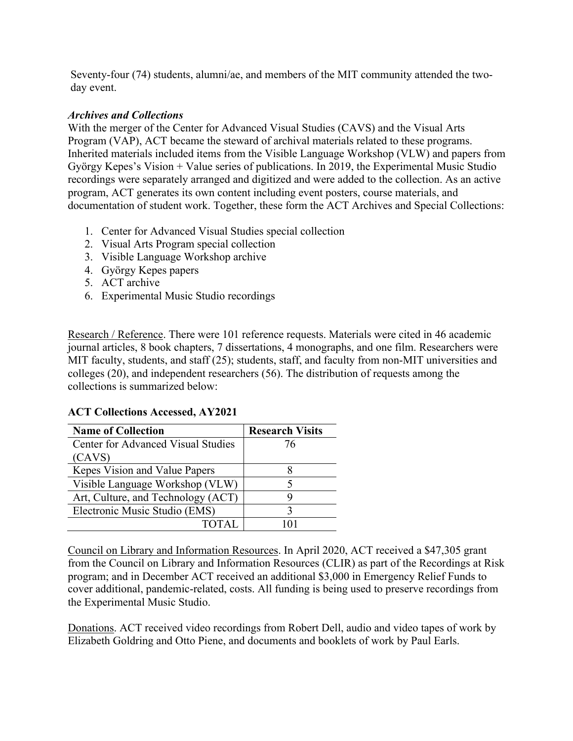Seventy-four (74) students, alumni/ae, and members of the MIT community attended the twoday event.

#### *Archives and Collections*

With the merger of the Center for Advanced Visual Studies (CAVS) and the Visual Arts Program (VAP), ACT became the steward of archival materials related to these programs. Inherited materials included items from the Visible Language Workshop (VLW) and papers from György Kepes's Vision + Value series of publications. In 2019, the Experimental Music Studio recordings were separately arranged and digitized and were added to the collection. As an active program, ACT generates its own content including event posters, course materials, and documentation of student work. Together, these form the ACT Archives and Special Collections:

- 1. Center for Advanced Visual Studies special collection
- 2. Visual Arts Program special collection
- 3. Visible Language Workshop archive
- 4. György Kepes papers
- 5. ACT archive
- 6. Experimental Music Studio recordings

Research / Reference. There were 101 reference requests. Materials were cited in 46 academic journal articles, 8 book chapters, 7 dissertations, 4 monographs, and one film. Researchers were MIT faculty, students, and staff (25); students, staff, and faculty from non-MIT universities and colleges (20), and independent researchers (56). The distribution of requests among the collections is summarized below:

### **ACT Collections Accessed, AY2021**

| <b>Name of Collection</b>                 | <b>Research Visits</b> |
|-------------------------------------------|------------------------|
| <b>Center for Advanced Visual Studies</b> | 76                     |
| (CAVS)                                    |                        |
| Kepes Vision and Value Papers             |                        |
| Visible Language Workshop (VLW)           |                        |
| Art, Culture, and Technology (ACT)        |                        |
| Electronic Music Studio (EMS)             |                        |
|                                           |                        |

Council on Library and Information Resources. In April 2020, ACT received a \$47,305 grant from the Council on Library and Information Resources (CLIR) as part of the Recordings at Risk program; and in December ACT received an additional \$3,000 in Emergency Relief Funds to cover additional, pandemic-related, costs. All funding is being used to preserve recordings from the Experimental Music Studio.

Donations. ACT received video recordings from Robert Dell, audio and video tapes of work by Elizabeth Goldring and Otto Piene, and documents and booklets of work by Paul Earls.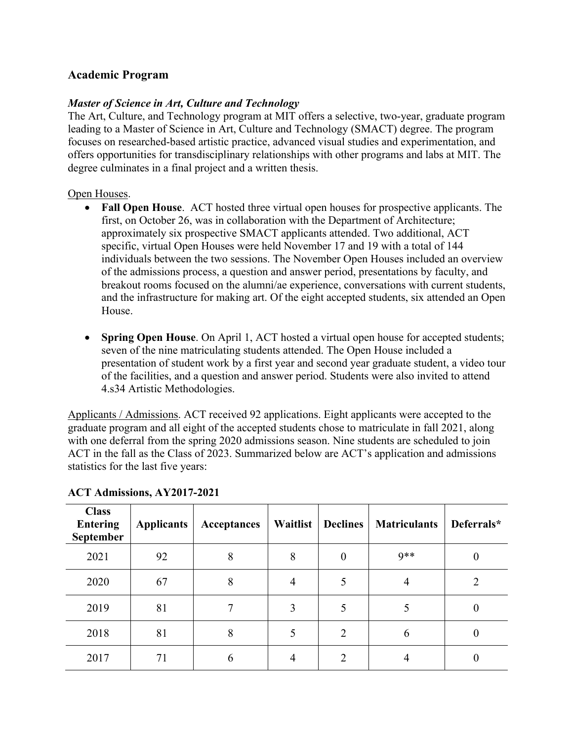# **Academic Program**

#### *Master of Science in Art, Culture and Technology*

The Art, Culture, and Technology program at MIT offers a selective, two-year, graduate program leading to a Master of Science in Art, Culture and Technology (SMACT) degree. The program focuses on researched-based artistic practice, advanced visual studies and experimentation, and offers opportunities for transdisciplinary relationships with other programs and labs at MIT. The degree culminates in a final project and a written thesis.

#### Open Houses.

- **Fall Open House**. ACT hosted three virtual open houses for prospective applicants. The first, on October 26, was in collaboration with the Department of Architecture; approximately six prospective SMACT applicants attended. Two additional, ACT specific, virtual Open Houses were held November 17 and 19 with a total of 144 individuals between the two sessions. The November Open Houses included an overview of the admissions process, a question and answer period, presentations by faculty, and breakout rooms focused on the alumni/ae experience, conversations with current students, and the infrastructure for making art. Of the eight accepted students, six attended an Open House.
- **Spring Open House**. On April 1, ACT hosted a virtual open house for accepted students; seven of the nine matriculating students attended. The Open House included a presentation of student work by a first year and second year graduate student, a video tour of the facilities, and a question and answer period. Students were also invited to attend 4.s34 Artistic Methodologies.

Applicants / Admissions. ACT received 92 applications. Eight applicants were accepted to the graduate program and all eight of the accepted students chose to matriculate in fall 2021, along with one deferral from the spring 2020 admissions season. Nine students are scheduled to join ACT in the fall as the Class of 2023. Summarized below are ACT's application and admissions statistics for the last five years:

| <b>Class</b><br><b>Entering</b><br><b>September</b> | <b>Applicants</b> | Acceptances | Waitlist | <b>Declines</b> | <b>Matriculants</b> | Deferrals* |
|-----------------------------------------------------|-------------------|-------------|----------|-----------------|---------------------|------------|
| 2021                                                | 92                | 8           | 8        | $\overline{0}$  | $9**$               |            |
| 2020                                                | 67                | 8           | 4        | 5               | 4                   |            |
| 2019                                                | 81                |             | 3        |                 |                     |            |
| 2018                                                | 81                | 8           |          | 2               | 6                   |            |
| 2017                                                | 71                | h           | 4        | C               |                     |            |

#### **ACT Admissions, AY2017-2021**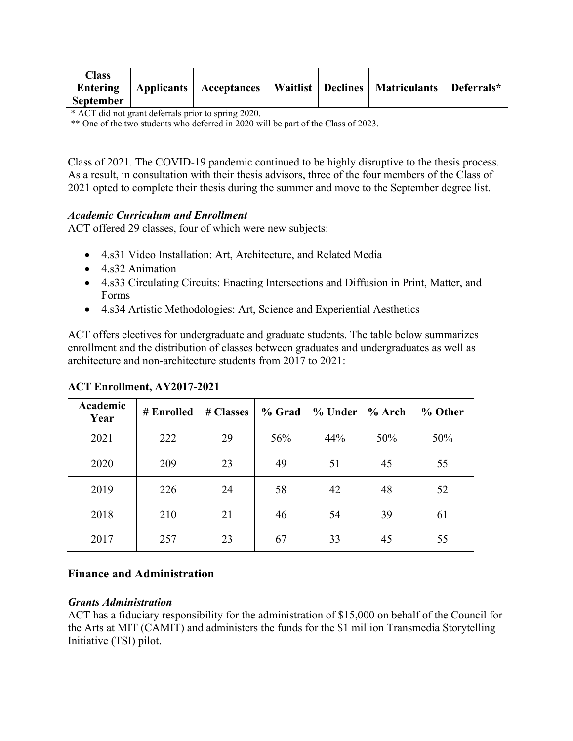| <b>Class</b><br>Entering<br><b>September</b>                                       |  | Applicants   Acceptances |  |  | Waitlist   Declines   Matriculants | Deferrals* |
|------------------------------------------------------------------------------------|--|--------------------------|--|--|------------------------------------|------------|
| * ACT did not grant deferrals prior to spring 2020.                                |  |                          |  |  |                                    |            |
| ** One of the two students who deferred in 2020 will be part of the Class of 2023. |  |                          |  |  |                                    |            |

Class of 2021. The COVID-19 pandemic continued to be highly disruptive to the thesis process. As a result, in consultation with their thesis advisors, three of the four members of the Class of 2021 opted to complete their thesis during the summer and move to the September degree list.

### *Academic Curriculum and Enrollment*

ACT offered 29 classes, four of which were new subjects:

- 4.s31 Video Installation: Art, Architecture, and Related Media
- 4.s32 Animation
- 4.s33 Circulating Circuits: Enacting Intersections and Diffusion in Print, Matter, and Forms
- 4.s34 Artistic Methodologies: Art, Science and Experiential Aesthetics

ACT offers electives for undergraduate and graduate students. The table below summarizes enrollment and the distribution of classes between graduates and undergraduates as well as architecture and non-architecture students from 2017 to 2021:

| Academic<br>Year | # Enrolled | # Classes | % Grad | % Under | $%$ Arch | % Other |
|------------------|------------|-----------|--------|---------|----------|---------|
| 2021             | 222        | 29        | 56%    | 44%     | 50%      | 50%     |
| 2020             | 209        | 23        | 49     | 51      | 45       | 55      |
| 2019             | 226        | 24        | 58     | 42      | 48       | 52      |
| 2018             | 210        | 21        | 46     | 54      | 39       | 61      |
| 2017             | 257        | 23        | 67     | 33      | 45       | 55      |

### **ACT Enrollment, AY2017-2021**

### **Finance and Administration**

#### *Grants Administration*

ACT has a fiduciary responsibility for the administration of \$15,000 on behalf of the Council for the Arts at MIT (CAMIT) and administers the funds for the \$1 million Transmedia Storytelling Initiative (TSI) pilot.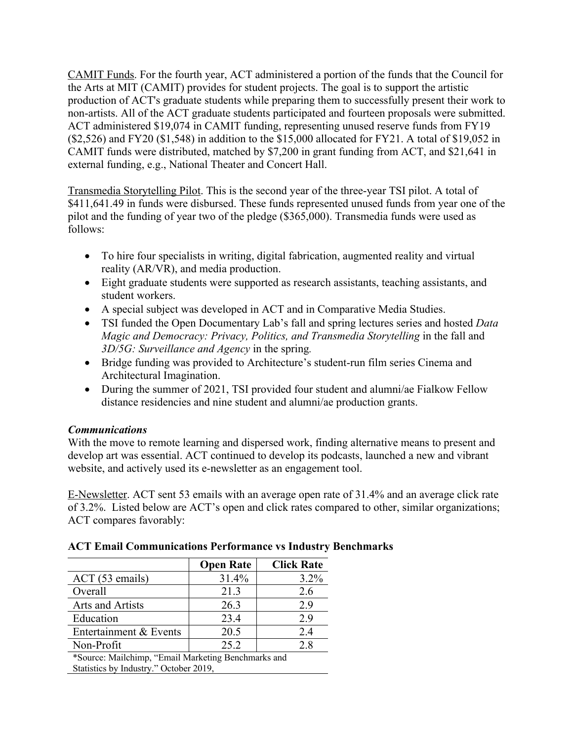CAMIT Funds. For the fourth year, ACT administered a portion of the funds that the Council for the Arts at MIT (CAMIT) provides for student projects. The goal is to support the artistic production of ACT's graduate students while preparing them to successfully present their work to non-artists. All of the ACT graduate students participated and fourteen proposals were submitted. ACT administered \$19,074 in CAMIT funding, representing unused reserve funds from FY19 (\$2,526) and FY20 (\$1,548) in addition to the \$15,000 allocated for FY21. A total of \$19,052 in CAMIT funds were distributed, matched by \$7,200 in grant funding from ACT, and \$21,641 in external funding, e.g., National Theater and Concert Hall.

Transmedia Storytelling Pilot. This is the second year of the three-year TSI pilot. A total of \$411,641.49 in funds were disbursed. These funds represented unused funds from year one of the pilot and the funding of year two of the pledge (\$365,000). Transmedia funds were used as follows:

- To hire four specialists in writing, digital fabrication, augmented reality and virtual reality (AR/VR), and media production.
- Eight graduate students were supported as research assistants, teaching assistants, and student workers.
- A special subject was developed in ACT and in Comparative Media Studies.
- TSI funded the Open Documentary Lab's fall and spring lectures series and hosted *Data Magic and Democracy: Privacy, Politics, and Transmedia Storytelling* in the fall and *3D/5G: Surveillance and Agency* in the spring*.*
- Bridge funding was provided to Architecture's student-run film series Cinema and Architectural Imagination.
- During the summer of 2021, TSI provided four student and alumni/ae Fialkow Fellow distance residencies and nine student and alumni/ae production grants.

# *Communications*

With the move to remote learning and dispersed work, finding alternative means to present and develop art was essential. ACT continued to develop its podcasts, launched a new and vibrant website, and actively used its e-newsletter as an engagement tool.

E-Newsletter. ACT sent 53 emails with an average open rate of 31.4% and an average click rate of 3.2%. Listed below are ACT's open and click rates compared to other, similar organizations; ACT compares favorably:

|                                                     | <b>Open Rate</b> | <b>Click Rate</b> |  |
|-----------------------------------------------------|------------------|-------------------|--|
| ACT (53 emails)                                     | 31.4%            | $3.2\%$           |  |
| Overall                                             | 21.3             | 2.6               |  |
| Arts and Artists                                    | 26.3             | 2.9               |  |
| Education                                           | 23.4             | 2.9               |  |
| Entertainment & Events                              | 20.5             | 2.4               |  |
| Non-Profit                                          | 25.2             | 2.8               |  |
| *Source: Mailchimp, "Email Marketing Benchmarks and |                  |                   |  |

### **ACT Email Communications Performance vs Industry Benchmarks**

\*Source: Mailchimp, "Email Marketing Benchmarks and Statistics by Industry." October 2019,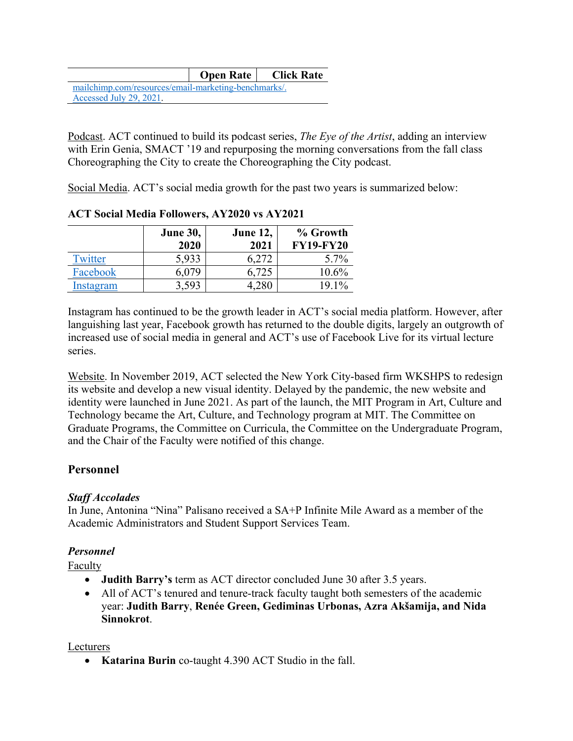|                                                      |  | <b>Open Rate</b>   Click Rate |  |  |
|------------------------------------------------------|--|-------------------------------|--|--|
| mailchimp.com/resources/email-marketing-benchmarks/. |  |                               |  |  |
| Accessed July 29, 2021.                              |  |                               |  |  |

Podcast. ACT continued to build its podcast series, *The Eye of the Artist*, adding an interview with Erin Genia, SMACT '19 and repurposing the morning conversations from the fall class Choreographing the City to create the Choreographing the City podcast.

Social Media. ACT's social media growth for the past two years is summarized below:

|           | <b>June 30,</b><br>2020 | <b>June 12,</b><br>2021 | % Growth<br><b>FY19-FY20</b> |
|-----------|-------------------------|-------------------------|------------------------------|
| Twitter   | 5,933                   | 6.272                   | $5.7\%$                      |
| Facebook  | 5,079                   | 6,725                   | 10.6%                        |
| Instagram | 3,593                   |                         | $19.1\%$                     |

### **ACT Social Media Followers, AY2020 vs AY2021**

Instagram has continued to be the growth leader in ACT's social media platform. However, after languishing last year, Facebook growth has returned to the double digits, largely an outgrowth of increased use of social media in general and ACT's use of Facebook Live for its virtual lecture series.

Website. In November 2019, ACT selected the New York City-based firm WKSHPS to redesign its website and develop a new visual identity. Delayed by the pandemic, the new website and identity were launched in June 2021. As part of the launch, the MIT Program in Art, Culture and Technology became the Art, Culture, and Technology program at MIT. The Committee on Graduate Programs, the Committee on Curricula, the Committee on the Undergraduate Program, and the Chair of the Faculty were notified of this change.

# **Personnel**

# *Staff Accolades*

In June, Antonina "Nina" Palisano received a SA+P Infinite Mile Award as a member of the Academic Administrators and Student Support Services Team.

# *Personnel*

**Faculty** 

- **Judith Barry's** term as ACT director concluded June 30 after 3.5 years.
- All of ACT's tenured and tenure-track faculty taught both semesters of the academic year: **Judith Barry**, **Renée Green, Gediminas Urbonas, Azra Akšamija, and Nida Sinnokrot**.

### Lecturers

• **Katarina Burin** co-taught 4.390 ACT Studio in the fall.